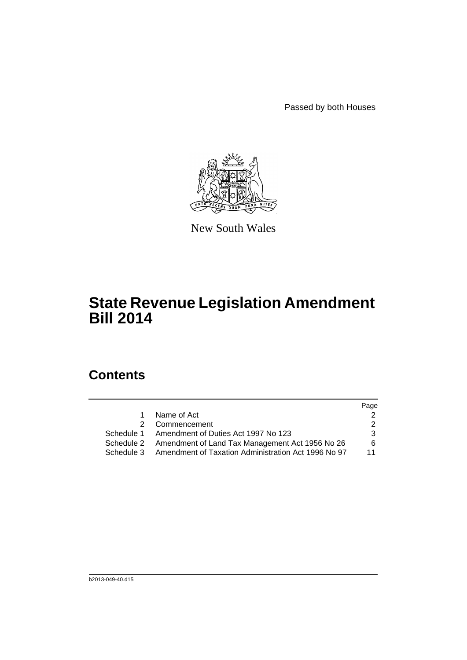Passed by both Houses



New South Wales

# **State Revenue Legislation Amendment Bill 2014**

# **Contents**

|           |                                                                | Page |
|-----------|----------------------------------------------------------------|------|
| $1 \quad$ | Name of Act                                                    |      |
|           | 2 Commencement                                                 |      |
|           | Schedule 1 Amendment of Duties Act 1997 No 123                 | 3    |
|           | Schedule 2 Amendment of Land Tax Management Act 1956 No 26     | 6    |
|           | Schedule 3 Amendment of Taxation Administration Act 1996 No 97 | 11   |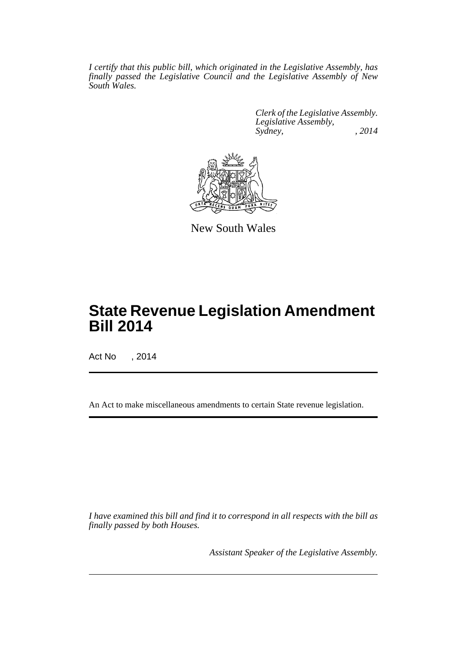*I certify that this public bill, which originated in the Legislative Assembly, has finally passed the Legislative Council and the Legislative Assembly of New South Wales.*

> *Clerk of the Legislative Assembly. Legislative Assembly, Sydney, , 2014*



New South Wales

# **State Revenue Legislation Amendment Bill 2014**

Act No , 2014

An Act to make miscellaneous amendments to certain State revenue legislation.

*I have examined this bill and find it to correspond in all respects with the bill as finally passed by both Houses.*

*Assistant Speaker of the Legislative Assembly.*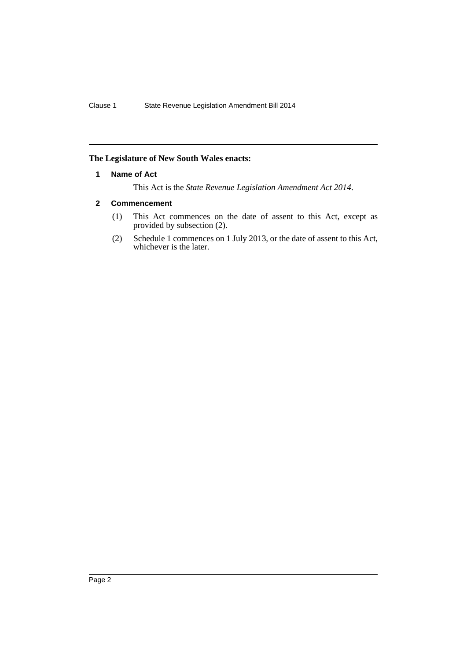## <span id="page-2-0"></span>**The Legislature of New South Wales enacts:**

### **1 Name of Act**

This Act is the *State Revenue Legislation Amendment Act 2014*.

# <span id="page-2-1"></span>**2 Commencement**

- (1) This Act commences on the date of assent to this Act, except as provided by subsection (2).
- (2) Schedule 1 commences on 1 July 2013, or the date of assent to this Act, whichever is the later.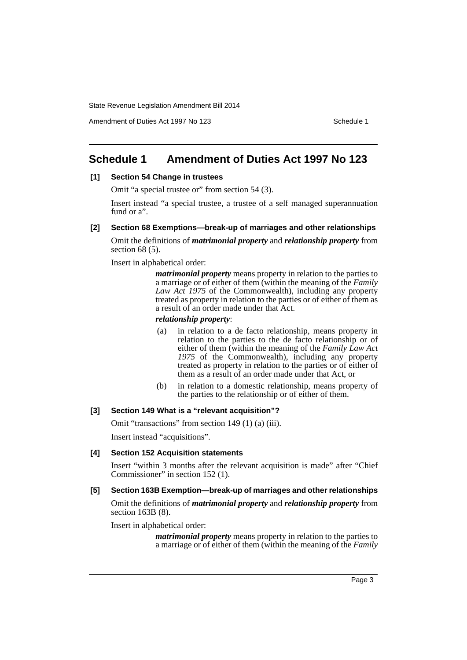Amendment of Duties Act 1997 No 123 Schedule 1

# <span id="page-3-0"></span>**Schedule 1 Amendment of Duties Act 1997 No 123**

# **[1] Section 54 Change in trustees**

Omit "a special trustee or" from section 54 (3).

Insert instead "a special trustee, a trustee of a self managed superannuation fund or a".

### **[2] Section 68 Exemptions—break-up of marriages and other relationships**

Omit the definitions of *matrimonial property* and *relationship property* from section 68 (5).

Insert in alphabetical order:

*matrimonial property* means property in relation to the parties to a marriage or of either of them (within the meaning of the *Family Law Act 1975* of the Commonwealth), including any property treated as property in relation to the parties or of either of them as a result of an order made under that Act.

#### *relationship property*:

- (a) in relation to a de facto relationship, means property in relation to the parties to the de facto relationship or of either of them (within the meaning of the *Family Law Act 1975* of the Commonwealth), including any property treated as property in relation to the parties or of either of them as a result of an order made under that Act, or
- (b) in relation to a domestic relationship, means property of the parties to the relationship or of either of them.

## **[3] Section 149 What is a "relevant acquisition"?**

Omit "transactions" from section 149 (1) (a) (iii).

Insert instead "acquisitions".

#### **[4] Section 152 Acquisition statements**

Insert "within 3 months after the relevant acquisition is made" after "Chief Commissioner" in section 152 (1).

#### **[5] Section 163B Exemption—break-up of marriages and other relationships**

Omit the definitions of *matrimonial property* and *relationship property* from section 163B (8).

Insert in alphabetical order:

*matrimonial property* means property in relation to the parties to a marriage or of either of them (within the meaning of the *Family*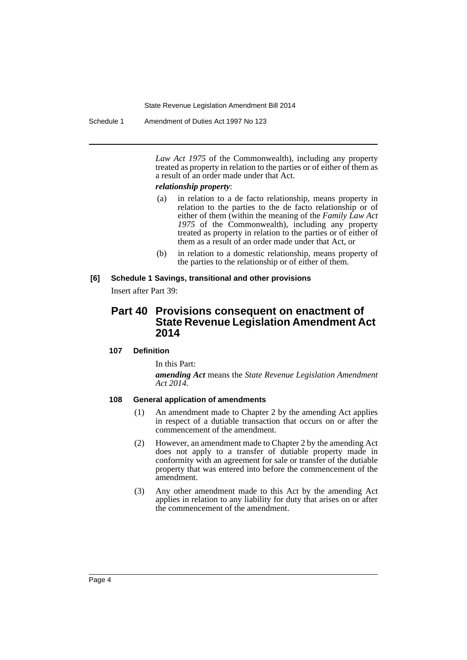Schedule 1 Amendment of Duties Act 1997 No 123

*Law Act 1975* of the Commonwealth), including any property treated as property in relation to the parties or of either of them as a result of an order made under that Act.

#### *relationship property*:

- (a) in relation to a de facto relationship, means property in relation to the parties to the de facto relationship or of either of them (within the meaning of the *Family Law Act 1975* of the Commonwealth), including any property treated as property in relation to the parties or of either of them as a result of an order made under that Act, or
- (b) in relation to a domestic relationship, means property of the parties to the relationship or of either of them.

## **[6] Schedule 1 Savings, transitional and other provisions**

Insert after Part 39:

# **Part 40 Provisions consequent on enactment of State Revenue Legislation Amendment Act 2014**

#### **107 Definition**

In this Part:

*amending Act* means the *State Revenue Legislation Amendment Act 2014*.

# **108 General application of amendments**

- (1) An amendment made to Chapter 2 by the amending Act applies in respect of a dutiable transaction that occurs on or after the commencement of the amendment.
- (2) However, an amendment made to Chapter 2 by the amending Act does not apply to a transfer of dutiable property made in conformity with an agreement for sale or transfer of the dutiable property that was entered into before the commencement of the amendment.
- (3) Any other amendment made to this Act by the amending Act applies in relation to any liability for duty that arises on or after the commencement of the amendment.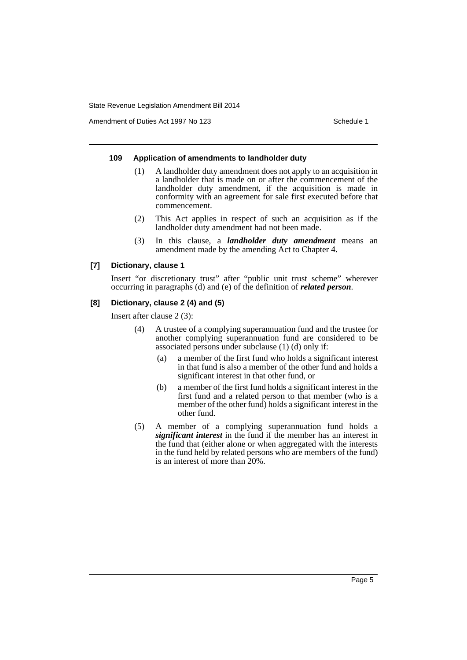Amendment of Duties Act 1997 No 123 Schedule 1

#### **109 Application of amendments to landholder duty**

- (1) A landholder duty amendment does not apply to an acquisition in a landholder that is made on or after the commencement of the landholder duty amendment, if the acquisition is made in conformity with an agreement for sale first executed before that commencement.
- (2) This Act applies in respect of such an acquisition as if the landholder duty amendment had not been made.
- (3) In this clause, a *landholder duty amendment* means an amendment made by the amending Act to Chapter 4.

#### **[7] Dictionary, clause 1**

Insert "or discretionary trust" after "public unit trust scheme" wherever occurring in paragraphs (d) and (e) of the definition of *related person*.

#### **[8] Dictionary, clause 2 (4) and (5)**

Insert after clause 2 (3):

- (4) A trustee of a complying superannuation fund and the trustee for another complying superannuation fund are considered to be associated persons under subclause (1) (d) only if:
	- (a) a member of the first fund who holds a significant interest in that fund is also a member of the other fund and holds a significant interest in that other fund, or
	- (b) a member of the first fund holds a significant interest in the first fund and a related person to that member (who is a member of the other fund) holds a significant interest in the other fund.
- (5) A member of a complying superannuation fund holds a *significant interest* in the fund if the member has an interest in the fund that (either alone or when aggregated with the interests in the fund held by related persons who are members of the fund) is an interest of more than 20%.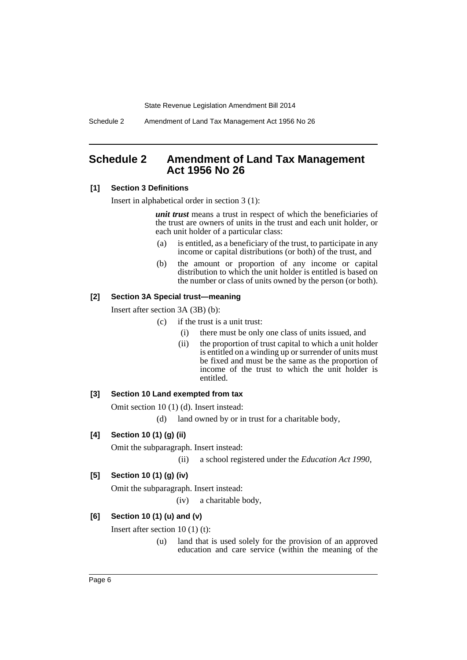Schedule 2 Amendment of Land Tax Management Act 1956 No 26

# <span id="page-6-0"></span>**Schedule 2 Amendment of Land Tax Management Act 1956 No 26**

# **[1] Section 3 Definitions**

Insert in alphabetical order in section 3 (1):

*unit trust* means a trust in respect of which the beneficiaries of the trust are owners of units in the trust and each unit holder, or each unit holder of a particular class:

- (a) is entitled, as a beneficiary of the trust, to participate in any income or capital distributions (or both) of the trust, and
- (b) the amount or proportion of any income or capital distribution to which the unit holder is entitled is based on the number or class of units owned by the person (or both).

## **[2] Section 3A Special trust—meaning**

Insert after section 3A (3B) (b):

- (c) if the trust is a unit trust:
	- (i) there must be only one class of units issued, and
	- (ii) the proportion of trust capital to which a unit holder is entitled on a winding up or surrender of units must be fixed and must be the same as the proportion of income of the trust to which the unit holder is entitled.

## **[3] Section 10 Land exempted from tax**

Omit section 10 (1) (d). Insert instead:

(d) land owned by or in trust for a charitable body,

# **[4] Section 10 (1) (g) (ii)**

Omit the subparagraph. Insert instead:

(ii) a school registered under the *Education Act 1990*,

# **[5] Section 10 (1) (g) (iv)**

Omit the subparagraph. Insert instead:

(iv) a charitable body,

## **[6] Section 10 (1) (u) and (v)**

Insert after section 10 (1) (t):

(u) land that is used solely for the provision of an approved education and care service (within the meaning of the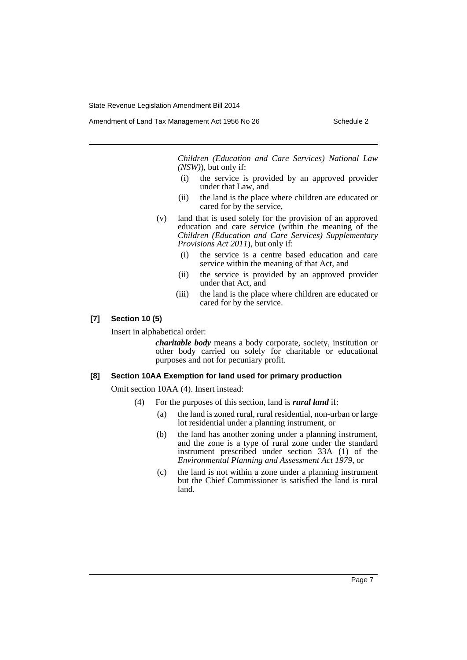Amendment of Land Tax Management Act 1956 No 26 Schedule 2

*Children (Education and Care Services) National Law (NSW)*), but only if:

- (i) the service is provided by an approved provider under that Law, and
- (ii) the land is the place where children are educated or cared for by the service,
- (v) land that is used solely for the provision of an approved education and care service (within the meaning of the *Children (Education and Care Services) Supplementary Provisions Act 2011*), but only if:
	- (i) the service is a centre based education and care service within the meaning of that Act, and
	- (ii) the service is provided by an approved provider under that Act, and
	- (iii) the land is the place where children are educated or cared for by the service.

#### **[7] Section 10 (5)**

Insert in alphabetical order:

*charitable body* means a body corporate, society, institution or other body carried on solely for charitable or educational purposes and not for pecuniary profit.

#### **[8] Section 10AA Exemption for land used for primary production**

Omit section 10AA (4). Insert instead:

- (4) For the purposes of this section, land is *rural land* if:
	- (a) the land is zoned rural, rural residential, non-urban or large lot residential under a planning instrument, or
	- (b) the land has another zoning under a planning instrument, and the zone is a type of rural zone under the standard instrument prescribed under section 33A (1) of the *Environmental Planning and Assessment Act 1979*, or
	- (c) the land is not within a zone under a planning instrument but the Chief Commissioner is satisfied the land is rural land.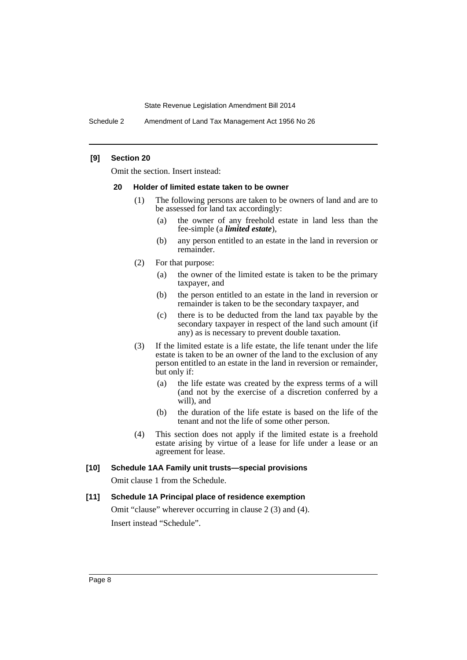Schedule 2 Amendment of Land Tax Management Act 1956 No 26

#### **[9] Section 20**

Omit the section. Insert instead:

#### **20 Holder of limited estate taken to be owner**

- (1) The following persons are taken to be owners of land and are to be assessed for land tax accordingly:
	- (a) the owner of any freehold estate in land less than the fee-simple (a *limited estate*),
	- (b) any person entitled to an estate in the land in reversion or remainder.
- (2) For that purpose:
	- (a) the owner of the limited estate is taken to be the primary taxpayer, and
	- (b) the person entitled to an estate in the land in reversion or remainder is taken to be the secondary taxpayer, and
	- (c) there is to be deducted from the land tax payable by the secondary taxpayer in respect of the land such amount (if any) as is necessary to prevent double taxation.
- (3) If the limited estate is a life estate, the life tenant under the life estate is taken to be an owner of the land to the exclusion of any person entitled to an estate in the land in reversion or remainder, but only if:
	- (a) the life estate was created by the express terms of a will (and not by the exercise of a discretion conferred by a will), and
	- (b) the duration of the life estate is based on the life of the tenant and not the life of some other person.
- (4) This section does not apply if the limited estate is a freehold estate arising by virtue of a lease for life under a lease or an agreement for lease.

#### **[10] Schedule 1AA Family unit trusts—special provisions**

Omit clause 1 from the Schedule.

#### **[11] Schedule 1A Principal place of residence exemption**

Omit "clause" wherever occurring in clause 2 (3) and (4). Insert instead "Schedule".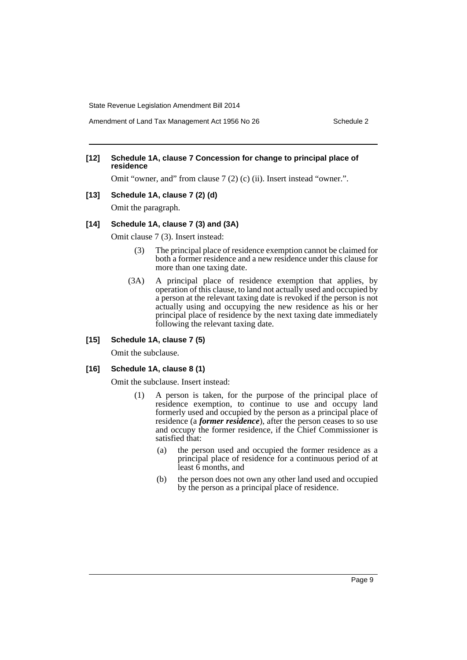Amendment of Land Tax Management Act 1956 No 26 Schedule 2

#### **[12] Schedule 1A, clause 7 Concession for change to principal place of residence**

Omit "owner, and" from clause 7 (2) (c) (ii). Insert instead "owner.".

#### **[13] Schedule 1A, clause 7 (2) (d)**

Omit the paragraph.

#### **[14] Schedule 1A, clause 7 (3) and (3A)**

Omit clause 7 (3). Insert instead:

- (3) The principal place of residence exemption cannot be claimed for both a former residence and a new residence under this clause for more than one taxing date.
- (3A) A principal place of residence exemption that applies, by operation of this clause, to land not actually used and occupied by a person at the relevant taxing date is revoked if the person is not actually using and occupying the new residence as his or her principal place of residence by the next taxing date immediately following the relevant taxing date.

# **[15] Schedule 1A, clause 7 (5)**

Omit the subclause.

### **[16] Schedule 1A, clause 8 (1)**

Omit the subclause. Insert instead:

- (1) A person is taken, for the purpose of the principal place of residence exemption, to continue to use and occupy land formerly used and occupied by the person as a principal place of residence (a *former residence*), after the person ceases to so use and occupy the former residence, if the Chief Commissioner is satisfied that:
	- (a) the person used and occupied the former residence as a principal place of residence for a continuous period of at least  $\vec{6}$  months, and
	- (b) the person does not own any other land used and occupied by the person as a principal place of residence.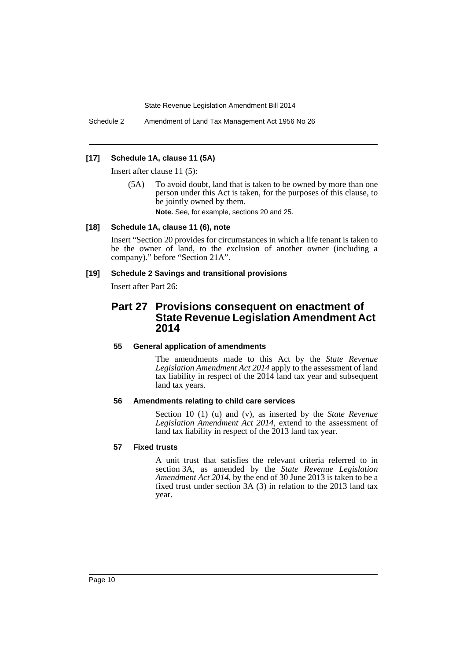Schedule 2 Amendment of Land Tax Management Act 1956 No 26

### **[17] Schedule 1A, clause 11 (5A)**

Insert after clause 11 (5):

(5A) To avoid doubt, land that is taken to be owned by more than one person under this Act is taken, for the purposes of this clause, to be jointly owned by them.

**Note.** See, for example, sections 20 and 25.

#### **[18] Schedule 1A, clause 11 (6), note**

Insert "Section 20 provides for circumstances in which a life tenant is taken to be the owner of land, to the exclusion of another owner (including a company)." before "Section 21A".

#### **[19] Schedule 2 Savings and transitional provisions**

Insert after Part 26:

# **Part 27 Provisions consequent on enactment of State Revenue Legislation Amendment Act 2014**

# **55 General application of amendments**

The amendments made to this Act by the *State Revenue Legislation Amendment Act 2014* apply to the assessment of land tax liability in respect of the 2014 land tax year and subsequent land tax years.

## **56 Amendments relating to child care services**

Section 10 (1) (u) and (v), as inserted by the *State Revenue Legislation Amendment Act 2014*, extend to the assessment of land tax liability in respect of the 2013 land tax year.

### **57 Fixed trusts**

A unit trust that satisfies the relevant criteria referred to in section 3A, as amended by the *State Revenue Legislation Amendment Act 2014*, by the end of 30 June 2013 is taken to be a fixed trust under section 3A (3) in relation to the 2013 land tax year.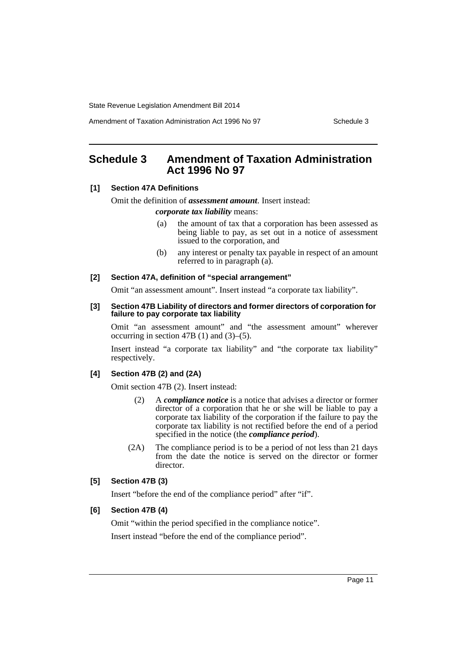Amendment of Taxation Administration Act 1996 No 97 Schedule 3

# <span id="page-11-0"></span>**Schedule 3 Amendment of Taxation Administration Act 1996 No 97**

#### **[1] Section 47A Definitions**

Omit the definition of *assessment amount*. Insert instead:

#### *corporate tax liability* means:

- (a) the amount of tax that a corporation has been assessed as being liable to pay, as set out in a notice of assessment issued to the corporation, and
- (b) any interest or penalty tax payable in respect of an amount referred to in paragraph (a).

#### **[2] Section 47A, definition of "special arrangement"**

Omit "an assessment amount". Insert instead "a corporate tax liability".

#### **[3] Section 47B Liability of directors and former directors of corporation for failure to pay corporate tax liability**

Omit "an assessment amount" and "the assessment amount" wherever occurring in section 47B (1) and (3)–(5).

Insert instead "a corporate tax liability" and "the corporate tax liability" respectively.

# **[4] Section 47B (2) and (2A)**

Omit section 47B (2). Insert instead:

- (2) A *compliance notice* is a notice that advises a director or former director of a corporation that he or she will be liable to pay a corporate tax liability of the corporation if the failure to pay the corporate tax liability is not rectified before the end of a period specified in the notice (the *compliance period*).
- (2A) The compliance period is to be a period of not less than 21 days from the date the notice is served on the director or former director.

#### **[5] Section 47B (3)**

Insert "before the end of the compliance period" after "if".

#### **[6] Section 47B (4)**

Omit "within the period specified in the compliance notice". Insert instead "before the end of the compliance period".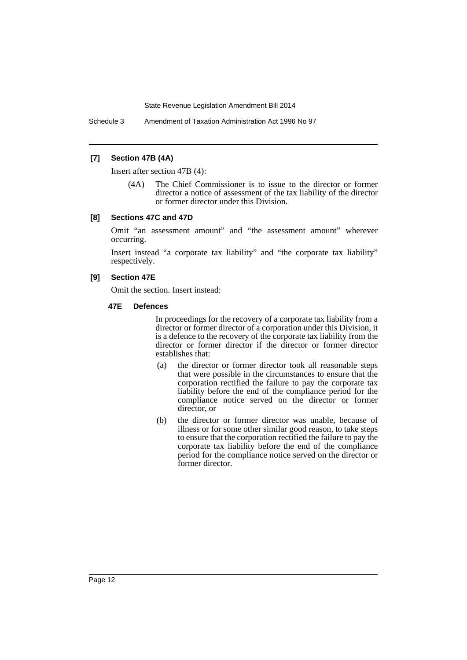Schedule 3 Amendment of Taxation Administration Act 1996 No 97

#### **[7] Section 47B (4A)**

Insert after section 47B (4):

(4A) The Chief Commissioner is to issue to the director or former director a notice of assessment of the tax liability of the director or former director under this Division.

#### **[8] Sections 47C and 47D**

Omit "an assessment amount" and "the assessment amount" wherever occurring.

Insert instead "a corporate tax liability" and "the corporate tax liability" respectively.

# **[9] Section 47E**

Omit the section. Insert instead:

#### **47E Defences**

In proceedings for the recovery of a corporate tax liability from a director or former director of a corporation under this Division, it is a defence to the recovery of the corporate tax liability from the director or former director if the director or former director establishes that:

- (a) the director or former director took all reasonable steps that were possible in the circumstances to ensure that the corporation rectified the failure to pay the corporate tax liability before the end of the compliance period for the compliance notice served on the director or former director, or
- (b) the director or former director was unable, because of illness or for some other similar good reason, to take steps to ensure that the corporation rectified the failure to pay the corporate tax liability before the end of the compliance period for the compliance notice served on the director or former director.